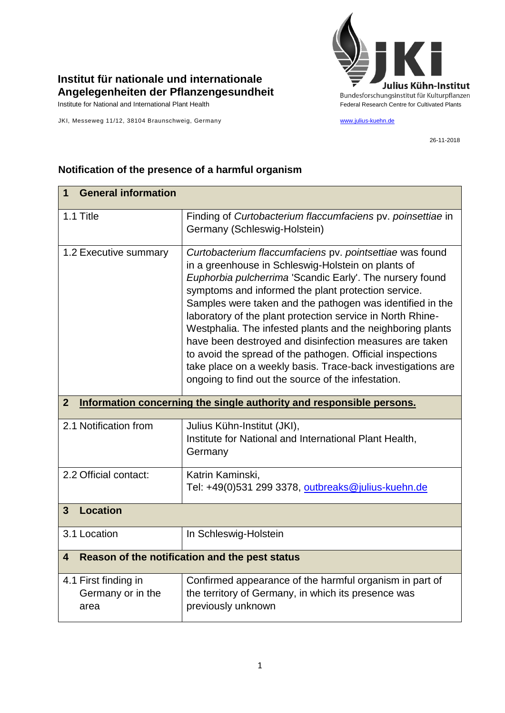

## **Institut für nationale und internationale Angelegenheiten der Pflanzengesundheit**

JKI, Messeweg 11/12, 38104 Braunschweig, Germany [www.julius-kuehn.de](http://www.julius-kuehn.de/)

26-11-2018

| <b>General information</b><br>1                                                        |                                                                                                                                                                                                                                                                                                                                                                                                                                                                                                                                                                                                                                                                         |  |
|----------------------------------------------------------------------------------------|-------------------------------------------------------------------------------------------------------------------------------------------------------------------------------------------------------------------------------------------------------------------------------------------------------------------------------------------------------------------------------------------------------------------------------------------------------------------------------------------------------------------------------------------------------------------------------------------------------------------------------------------------------------------------|--|
| 1.1 Title                                                                              | Finding of Curtobacterium flaccumfaciens pv. poinsettiae in<br>Germany (Schleswig-Holstein)                                                                                                                                                                                                                                                                                                                                                                                                                                                                                                                                                                             |  |
| 1.2 Executive summary                                                                  | Curtobacterium flaccumfaciens pv. pointsettiae was found<br>in a greenhouse in Schleswig-Holstein on plants of<br>Euphorbia pulcherrima 'Scandic Early'. The nursery found<br>symptoms and informed the plant protection service.<br>Samples were taken and the pathogen was identified in the<br>laboratory of the plant protection service in North Rhine-<br>Westphalia. The infested plants and the neighboring plants<br>have been destroyed and disinfection measures are taken<br>to avoid the spread of the pathogen. Official inspections<br>take place on a weekly basis. Trace-back investigations are<br>ongoing to find out the source of the infestation. |  |
| $\overline{2}$<br>Information concerning the single authority and responsible persons. |                                                                                                                                                                                                                                                                                                                                                                                                                                                                                                                                                                                                                                                                         |  |
| 2.1 Notification from                                                                  | Julius Kühn-Institut (JKI),<br>Institute for National and International Plant Health,<br>Germany                                                                                                                                                                                                                                                                                                                                                                                                                                                                                                                                                                        |  |
| 2.2 Official contact:                                                                  | Katrin Kaminski,<br>Tel: +49(0)531 299 3378, outbreaks@julius-kuehn.de                                                                                                                                                                                                                                                                                                                                                                                                                                                                                                                                                                                                  |  |
| <b>Location</b><br>$\overline{3}$                                                      |                                                                                                                                                                                                                                                                                                                                                                                                                                                                                                                                                                                                                                                                         |  |
| 3.1 Location                                                                           | In Schleswig-Holstein                                                                                                                                                                                                                                                                                                                                                                                                                                                                                                                                                                                                                                                   |  |
| Reason of the notification and the pest status<br>4                                    |                                                                                                                                                                                                                                                                                                                                                                                                                                                                                                                                                                                                                                                                         |  |
| 4.1 First finding in<br>Germany or in the<br>area                                      | Confirmed appearance of the harmful organism in part of<br>the territory of Germany, in which its presence was<br>previously unknown                                                                                                                                                                                                                                                                                                                                                                                                                                                                                                                                    |  |

## **Notification of the presence of a harmful organism**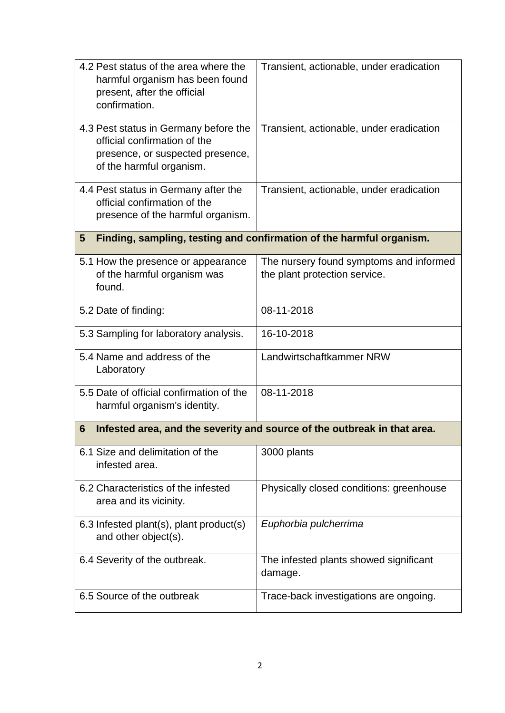| 4.2 Pest status of the area where the<br>harmful organism has been found<br>present, after the official<br>confirmation.              | Transient, actionable, under eradication                                 |  |  |
|---------------------------------------------------------------------------------------------------------------------------------------|--------------------------------------------------------------------------|--|--|
| 4.3 Pest status in Germany before the<br>official confirmation of the<br>presence, or suspected presence,<br>of the harmful organism. | Transient, actionable, under eradication                                 |  |  |
| 4.4 Pest status in Germany after the<br>official confirmation of the<br>presence of the harmful organism.                             | Transient, actionable, under eradication                                 |  |  |
| Finding, sampling, testing and confirmation of the harmful organism.<br>5                                                             |                                                                          |  |  |
| 5.1 How the presence or appearance<br>of the harmful organism was<br>found.                                                           | The nursery found symptoms and informed<br>the plant protection service. |  |  |
| 5.2 Date of finding:                                                                                                                  | 08-11-2018                                                               |  |  |
| 5.3 Sampling for laboratory analysis.                                                                                                 | 16-10-2018                                                               |  |  |
| 5.4 Name and address of the<br>Laboratory                                                                                             | Landwirtschaftkammer NRW                                                 |  |  |
| 5.5 Date of official confirmation of the<br>harmful organism's identity.                                                              | 08-11-2018                                                               |  |  |
| Infested area, and the severity and source of the outbreak in that area.<br>6                                                         |                                                                          |  |  |
| 6.1 Size and delimitation of the<br>infested area.                                                                                    | 3000 plants                                                              |  |  |
| 6.2 Characteristics of the infested<br>area and its vicinity.                                                                         | Physically closed conditions: greenhouse                                 |  |  |
| 6.3 Infested plant(s), plant product(s)<br>and other object(s).                                                                       | Euphorbia pulcherrima                                                    |  |  |
| 6.4 Severity of the outbreak.                                                                                                         | The infested plants showed significant<br>damage.                        |  |  |
| 6.5 Source of the outbreak                                                                                                            | Trace-back investigations are ongoing.                                   |  |  |